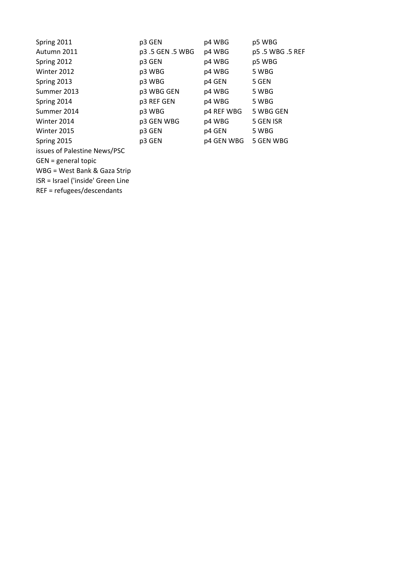| Spring 2011                  | p3 GEN         | p4 WBG     | p5 WBG         |
|------------------------------|----------------|------------|----------------|
| Autumn 2011                  | p3.5 GEN.5 WBG | p4 WBG     | p5.5 WBG.5 REF |
| Spring 2012                  | p3 GEN         | p4 WBG     | p5 WBG         |
| Winter 2012                  | p3 WBG         | p4 WBG     | 5 WBG          |
| Spring 2013                  | p3 WBG         | p4 GEN     | 5 GEN          |
| Summer 2013                  | p3 WBG GEN     | p4 WBG     | 5 WBG          |
| Spring 2014                  | p3 REF GEN     | p4 WBG     | 5 WBG          |
| Summer 2014                  | p3 WBG         | p4 REF WBG | 5 WBG GEN      |
| Winter 2014                  | p3 GEN WBG     | p4 WBG     | 5 GEN ISR      |
| Winter 2015                  | p3 GEN         | p4 GEN     | 5 WBG          |
| Spring 2015                  | p3 GEN         | p4 GEN WBG | 5 GEN WBG      |
| issues of Palestine News/PSC |                |            |                |
| $GEN = general topic$        |                |            |                |

WBG = West Bank & Gaza Strip

ISR = Israel ('inside' Green Line

REF = refugees/descendants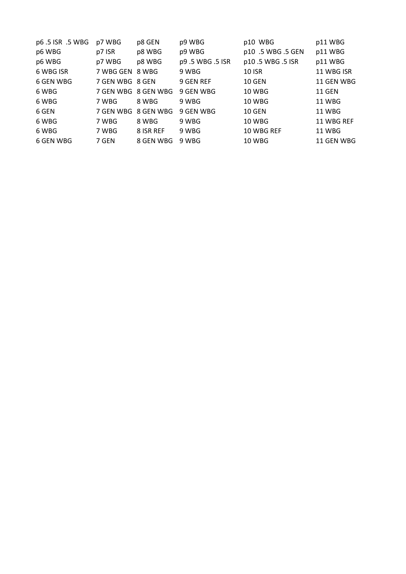| p6.5 ISR .5 WBG | p7 WBG          | p8 GEN              | p9 WBG         | p10 WBG           | p11 WBG       |
|-----------------|-----------------|---------------------|----------------|-------------------|---------------|
| p6 WBG          | p7 ISR          | p8 WBG              | p9 WBG         | p10 .5 WBG .5 GEN | p11 WBG       |
| p6 WBG          | p7 WBG          | p8 WBG              | p9.5 WBG.5 ISR | p10.5 WBG.5 ISR   | p11 WBG       |
| 6 WBG ISR       | 7 WBG GEN 8 WBG |                     | 9 WBG          | <b>10 ISR</b>     | 11 WBG ISR    |
| 6 GEN WBG       | 7 GEN WBG 8 GEN |                     | 9 GEN REF      | <b>10 GEN</b>     | 11 GEN WBG    |
| 6 WBG           |                 | 7 GEN WBG 8 GEN WBG | 9 GEN WBG      | <b>10 WBG</b>     | <b>11 GEN</b> |
| 6 WBG           | 7 WBG           | 8 WBG               | 9 WBG          | 10 WBG            | <b>11 WBG</b> |
| 6 GEN           |                 | 7 GEN WBG 8 GEN WBG | 9 GEN WBG      | <b>10 GEN</b>     | <b>11 WBG</b> |
| 6 WBG           | 7 WBG           | 8 WBG               | 9 WBG          | <b>10 WBG</b>     | 11 WBG REF    |
| 6 WBG           | 7 WBG           | 8 ISR REF           | 9 WBG          | 10 WBG REF        | 11 WBG        |
| 6 GEN WBG       | 7 GEN           | 8 GEN WBG           | 9 WBG          | 10 WBG            | 11 GEN WBG    |
|                 |                 |                     |                |                   |               |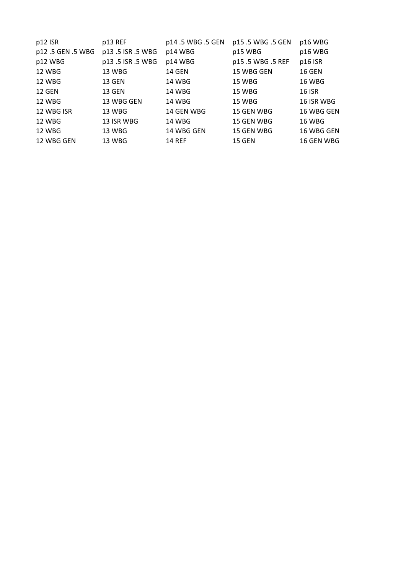| p12 ISR           | p13 REF          | p14.5 WBG.5 GEN | p15.5 WBG .5 GEN | p16 WBG       |
|-------------------|------------------|-----------------|------------------|---------------|
| p12 .5 GEN .5 WBG | p13.5 ISR .5 WBG | p14 WBG         | p15 WBG          | p16 WBG       |
| p12 WBG           | p13.5 ISR .5 WBG | p14 WBG         | p15.5 WBG.5 REF  | p16 ISR       |
| 12 WBG            | 13 WBG           | 14 GEN          | 15 WBG GEN       | <b>16 GEN</b> |
| 12 WBG            | <b>13 GEN</b>    | 14 WBG          | 15 WBG           | <b>16 WBG</b> |
| <b>12 GEN</b>     | <b>13 GEN</b>    | 14 WBG          | 15 WBG           | <b>16 ISR</b> |
| 12 WBG            | 13 WBG GEN       | 14 WBG          | 15 WBG           | 16 ISR WBG    |
| 12 WBG ISR        | 13 WBG           | 14 GEN WBG      | 15 GEN WBG       | 16 WBG GEN    |
| 12 WBG            | 13 ISR WBG       | 14 WBG          | 15 GEN WBG       | 16 WBG        |
| <b>12 WBG</b>     | 13 WBG           | 14 WBG GEN      | 15 GEN WBG       | 16 WBG GEN    |
| 12 WBG GEN        | 13 WBG           | <b>14 REF</b>   | <b>15 GEN</b>    | 16 GEN WBG    |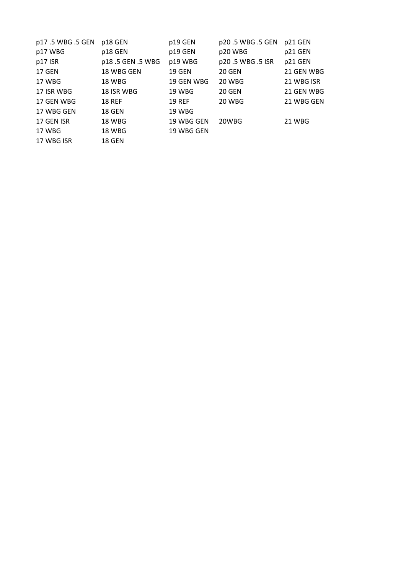| p17.5 WBG.5 GEN | p18 GEN         | p19 GEN       | p20.5 WBG .5 GEN | p21 GEN    |
|-----------------|-----------------|---------------|------------------|------------|
| p17 WBG         | p18 GEN         | p19 GEN       | p20 WBG          | p21 GEN    |
| p17 ISR         | p18.5 GEN.5 WBG | p19 WBG       | p20.5 WBG .5 ISR | p21 GEN    |
| 17 GEN          | 18 WBG GEN      | <b>19 GEN</b> | <b>20 GEN</b>    | 21 GEN WBG |
| 17 WBG          | <b>18 WBG</b>   | 19 GEN WBG    | 20 WBG           | 21 WBG ISR |
| 17 ISR WBG      | 18 ISR WBG      | 19 WBG        | <b>20 GEN</b>    | 21 GEN WBG |
| 17 GEN WBG      | <b>18 REF</b>   | <b>19 REF</b> | 20 WBG           | 21 WBG GEN |
| 17 WBG GEN      | 18 GEN          | 19 WBG        |                  |            |
| 17 GEN ISR      | 18 WBG          | 19 WBG GEN    | 20WBG            | 21 WBG     |
| 17 WBG          | 18 WBG          | 19 WBG GEN    |                  |            |
| 17 WBG ISR      | 18 GEN          |               |                  |            |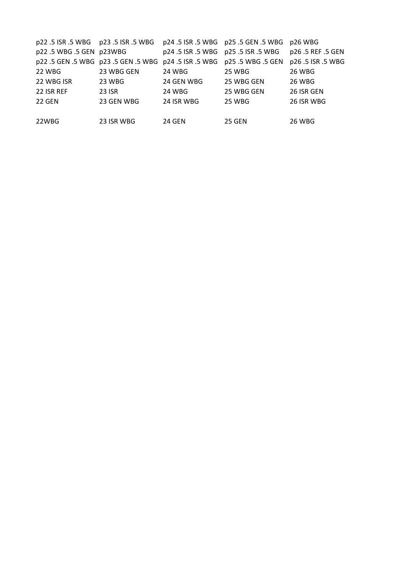| p22.5 ISR.5 WBG    p23.5 ISR.5 WBG |                                 |                                        | p24 .5 ISR .5 WBG    p25 .5 GEN .5 WBG | p26 WBG           |
|------------------------------------|---------------------------------|----------------------------------------|----------------------------------------|-------------------|
| p22.5 WBG.5 GEN p23WBG             |                                 | p24 .5 ISR .5 WBG    p25 .5 ISR .5 WBG |                                        | p26 .5 REF .5 GEN |
|                                    | p22.5 GEN.5 WBG p23.5 GEN.5 WBG | p24 .5 ISR .5 WBG                      | p25 .5 WBG .5 GEN                      | p26 .5 ISR .5 WBG |
| <b>22 WBG</b>                      | 23 WBG GEN                      | 24 WBG                                 | 25 WBG                                 | 26 WBG            |
| 22 WBG ISR                         | 23 WBG                          | 24 GEN WBG                             | 25 WBG GEN                             | 26 WBG            |
| 22 ISR REF                         | <b>23 ISR</b>                   | 24 WBG                                 | 25 WBG GEN                             | 26 ISR GEN        |
| <b>22 GEN</b>                      | 23 GEN WBG                      | 24 ISR WBG                             | 25 WBG                                 | 26 ISR WBG        |
|                                    |                                 |                                        |                                        |                   |
| 22WBG                              | 23 ISR WBG                      | 24 GEN                                 | <b>25 GEN</b>                          | <b>26 WBG</b>     |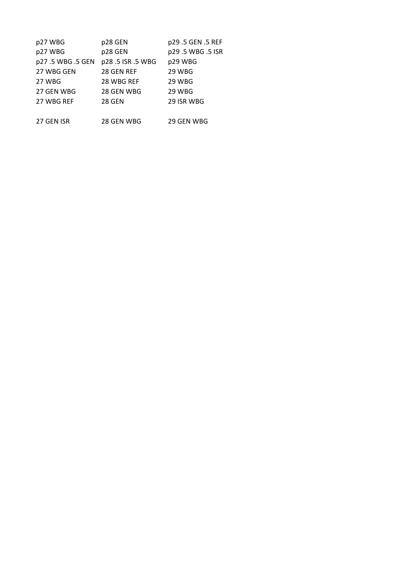| p27 WBG         | p28 GEN         | p29.5 GEN.5 REF |
|-----------------|-----------------|-----------------|
| p27 WBG         | p28 GEN         | p29.5 WBG.5 ISR |
| p27.5 WBG.5 GEN | p28.5 ISR.5 WBG | p29 WBG         |
| 27 WBG GEN      | 28 GEN REF      | 29 WBG          |
| 27 WBG          | 28 WBG REF      | 29 WBG          |
| 27 GEN WBG      | 28 GEN WBG      | 29 WBG          |
| 27 WBG REF      | <b>28 GEN</b>   | 29 ISR WBG      |
|                 |                 |                 |
| 27 GEN ISR      | 28 GEN WBG      | 29 GEN WBG      |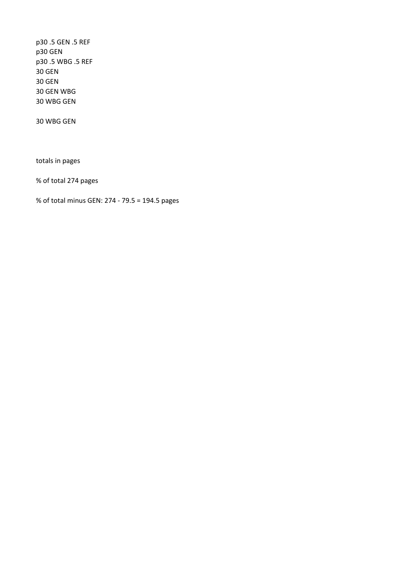p30 .5 GEN .5 REF p30 GEN p30 .5 WBG .5 REF 30 GEN 30 GEN 30 GEN WBG 30 WBG GEN

30 WBG GEN

totals in pages

% of total 274 pages

% of total minus GEN: 274 - 79.5 = 194.5 pages